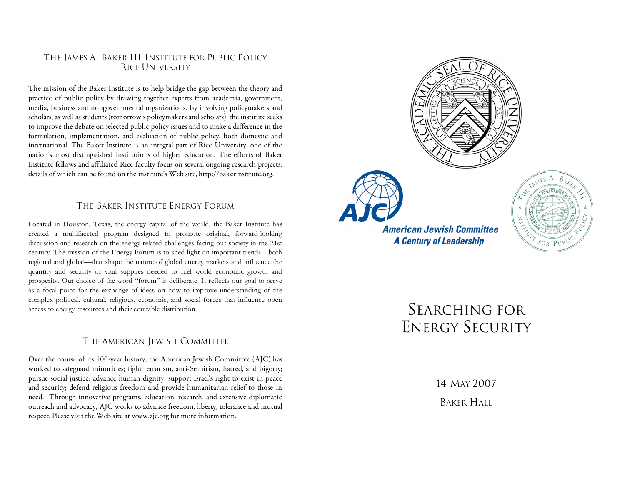### THE JAMES A. BAKER III INSTITUTE FOR PUBLIC POLICY RICE UNIVERSITY

The mission of the Baker Institute is to help bridge the gap between the theory and practice of public policy by drawing together experts from academia, government, media, business and nongovernmental organizations. By involving policymakers and scholars, as well as students (tomorrow's policymakers and scholars), the institute seeks to improve the debate on selected public policy issues and to make a difference in the formulation, implementation, and evaluation of public policy, both domestic and international. The Baker Institute is an integral part of Rice University, one of the nation's most distinguished institutions of higher education. The efforts of Baker Institute fellows and affiliated Rice faculty focus on several ongoing research projects, details of which can be found on the institute's Web site, http://bakerinstitute.org.

# THE BAKER INSTITUTE ENERGY FORUM

Located in Houston, Texas, the energy capital of the world, the Baker Institute has created a multifaceted program designed to promote original, forward-looking discussion and research on the energy-related challenges facing our society in the 21st century. The mission of the Energy Forum is to shed light on important trends—both regional and global—that shape the nature of global energy markets and influence the quantity and security of vital supplies needed to fuel world economic growth and prosperity. Our choice of the word "forum" is deliberate. It reflects our goal to serve as a focal point for the exchange of ideas on how to improve understanding of the complex political, cultural, religious, economic, and social forces that influence open access to energy resources and their equitable distribution.

#### THE AMERICAN JEWISH COMMITTEE

Over the course of its 100-year history, the American Jewish Committee (AJC) has worked to safeguard minorities; fight terrorism, anti-Semitism, hatred, and bigotry; pursue social justice; advance human dignity; support Israel's right to exist in peace and security; defend religious freedom and provide humanitarian relief to those in need. Through innovative programs, education, research, and extensive diplomatic outreach and advocacy, AJC works to advance freedom, liberty, tolerance and mutual respect. Please visit the Web site at www.ajc.org for more information.





**American Jewish Committee A Century of Leadership** 



# SEARCHING FOR ENERGY SECURITY

14 MAY 2007 BAKER HALL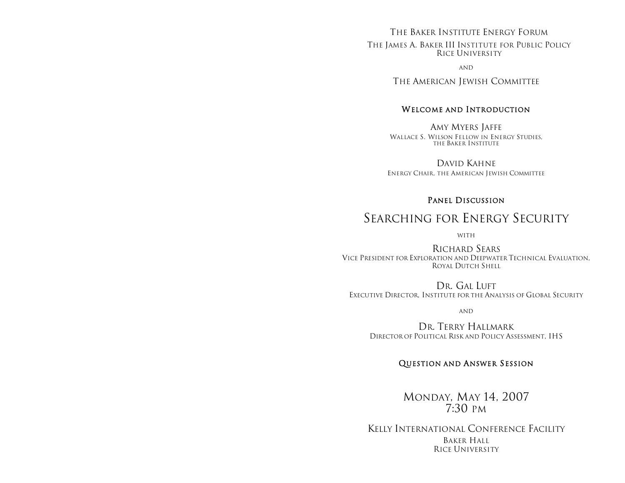#### THE BAKER INSTITUTE ENERGY FORUM

THE JAMES A. BAKER III INSTITUTE FOR PUBLIC POLICY RICE UNIVERSITY

AND

THE AMERICAN JEWISH COMMITTEE

### WELCOME AND INTRODUCTION

AMY MYERS JAFFE WALLACE S. WILSON FELLOW IN ENERGY STUDIES, THE BAKER INSTITUTE

DAVID KAHNE ENERGY CHAIR, THE AMERICAN JEWISH COMMITTEE

#### PANEL DISCUSSION

# SEARCHING FOR ENERGY SECURITY

WITH

RICHARD SEARS VICE PRESIDENT FOR EXPLORATION AND DEEPWATER TECHNICAL EVALUATION, ROYAL DUTCH SHELL

DR. GAL LUFT EXECUTIVE DIRECTOR, INSTITUTE FOR THE ANALYSIS OF GLOBAL SECURITY

AND

DR. TERRY HALLMARK DIRECTOR OF POLITICAL RISK AND POLICY ASSESSMENT, IHS

## QUESTION AND ANSWER SESSION

MONDAY, MAY 14, 2007 7:30 PM

KELLY INTERNATIONAL CONFERENCE FACILITY BAKER HALL RICE UNIVERSITY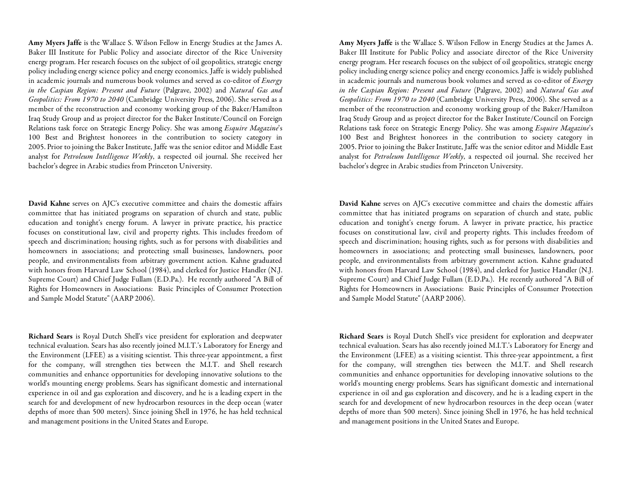Amy Myers Jaffe is the Wallace S. Wilson Fellow in Energy Studies at the James A. Baker III Institute for Public Policy and associate director of the Rice University energy program. Her research focuses on the subject of oil geopolitics, strategic energy policy including energy science policy and energy economics. Jaffe is widely published in academic journals and numerous book volumes and served as co-editor of Energy in the Caspian Region: Present and Future (Palgrave, 2002) and Natural Gas and Geopolitics: From 1970 to 2040 (Cambridge University Press, 2006). She served as a member of the reconstruction and economy working group of the Baker/Hamilton Iraq Study Group and as project director for the Baker Institute/Council on Foreign Relations task force on Strategic Energy Policy. She was among Esquire Magazine's 100 Best and Brightest honorees in the contribution to society category in 2005. Prior to joining the Baker Institute, Jaffe was the senior editor and Middle East analyst for Petroleum Intelligence Weekly, a respected oil journal. She received her bachelor's degree in Arabic studies from Princeton University.

David Kahne serves on AJC's executive committee and chairs the domestic affairs committee that has initiated programs on separation of church and state, public education and tonight's energy forum. A lawyer in private practice, his practice focuses on constitutional law, civil and property rights. This includes freedom of speech and discrimination; housing rights, such as for persons with disabilities and homeowners in associations; and protecting small businesses, landowners, poor people, and environmentalists from arbitrary government action. Kahne graduated with honors from Harvard Law School (1984), and clerked for Justice Handler (N.J. Supreme Court) and Chief Judge Fullam (E.D.Pa.). He recently authored "A Bill of Rights for Homeowners in Associations: Basic Principles of Consumer Protection and Sample Model Statute" (AARP 2006).

Richard Sears is Royal Dutch Shell's vice president for exploration and deepwater technical evaluation. Sears has also recently joined M.I.T.'s Laboratory for Energy and the Environment (LFEE) as a visiting scientist. This three-year appointment, a first for the company, will strengthen ties between the M.I.T. and Shell research communities and enhance opportunities for developing innovative solutions to the world's mounting energy problems. Sears has significant domestic and international experience in oil and gas exploration and discovery, and he is a leading expert in the search for and development of new hydrocarbon resources in the deep ocean (water depths of more than 500 meters). Since joining Shell in 1976, he has held technical and management positions in the United States and Europe.

Amy Myers Jaffe is the Wallace S. Wilson Fellow in Energy Studies at the James A. Baker III Institute for Public Policy and associate director of the Rice University energy program. Her research focuses on the subject of oil geopolitics, strategic energy policy including energy science policy and energy economics. Jaffe is widely published in academic journals and numerous book volumes and served as co-editor of *Energy* in the Caspian Region: Present and Future (Palgrave, 2002) and Natural Gas and Geopolitics: From 1970 to 2040 (Cambridge University Press, 2006). She served as a member of the reconstruction and economy working group of the Baker/Hamilton Iraq Study Group and as project director for the Baker Institute/Council on Foreign Relations task force on Strategic Energy Policy. She was among Esquire Magazine's 100 Best and Brightest honorees in the contribution to society category in 2005. Prior to joining the Baker Institute, Jaffe was the senior editor and Middle East analyst for Petroleum Intelligence Weekly, a respected oil journal. She received her bachelor's degree in Arabic studies from Princeton University.

David Kahne serves on AJC's executive committee and chairs the domestic affairs committee that has initiated programs on separation of church and state, public education and tonight's energy forum. A lawyer in private practice, his practice focuses on constitutional law, civil and property rights. This includes freedom of speech and discrimination; housing rights, such as for persons with disabilities and homeowners in associations; and protecting small businesses, landowners, poor people, and environmentalists from arbitrary government action. Kahne graduated with honors from Harvard Law School (1984), and clerked for Justice Handler (N.J. Supreme Court) and Chief Judge Fullam (E.D.Pa.). He recently authored "A Bill of Rights for Homeowners in Associations: Basic Principles of Consumer Protection and Sample Model Statute" (AARP 2006).

Richard Sears is Royal Dutch Shell's vice president for exploration and deepwater technical evaluation. Sears has also recently joined M.I.T.'s Laboratory for Energy and the Environment (LFEE) as a visiting scientist. This three-year appointment, a first for the company, will strengthen ties between the M.I.T. and Shell research communities and enhance opportunities for developing innovative solutions to the world's mounting energy problems. Sears has significant domestic and international experience in oil and gas exploration and discovery, and he is a leading expert in the search for and development of new hydrocarbon resources in the deep ocean (water depths of more than 500 meters). Since joining Shell in 1976, he has held technical and management positions in the United States and Europe.